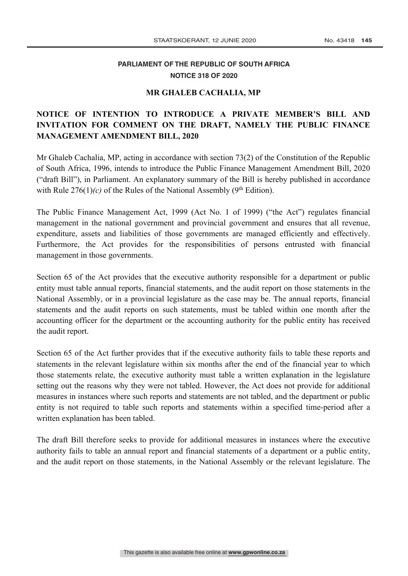## **PARLIAMENT OF THE REPUBLIC OF SOUTH AFRICA NOTICE 318 OF 2020**

## **MR GHALEB CACHALIA, MP**

## **NOTICE OF INTENTION TO INTRODUCE A PRIVATE MEMBER'S BILL AND INVITATION FOR COMMENT ON THE DRAFT, NAMELY THE PUBLIC FINANCE MANAGEMENT AMENDMENT BILL, 2020**

Mr Ghaleb Cachalia, MP, acting in accordance with section 73(2) of the Constitution of the Republic of South Africa, 1996, intends to introduce the Public Finance Management Amendment Bill, 2020 ("draft Bill"), in Parliament. An explanatory summary of the Bill is hereby published in accordance with Rule  $276(1)(c)$  of the Rules of the National Assembly (9<sup>th</sup> Edition).

The Public Finance Management Act, 1999 (Act No. 1 of 1999) ("the Act") regulates financial management in the national government and provincial government and ensures that all revenue, expenditure, assets and liabilities of those governments are managed efficiently and effectively. Furthermore, the Act provides for the responsibilities of persons entrusted with financial management in those governments.

Section 65 of the Act provides that the executive authority responsible for a department or public entity must table annual reports, financial statements, and the audit report on those statements in the National Assembly, or in a provincial legislature as the case may be. The annual reports, financial statements and the audit reports on such statements, must be tabled within one month after the accounting officer for the department or the accounting authority for the public entity has received the audit report.

Section 65 of the Act further provides that if the executive authority fails to table these reports and statements in the relevant legislature within six months after the end of the financial year to which those statements relate, the executive authority must table a written explanation in the legislature setting out the reasons why they were not tabled. However, the Act does not provide for additional measures in instances where such reports and statements are not tabled, and the department or public entity is not required to table such reports and statements within a specified time-period after a written explanation has been tabled.

The draft Bill therefore seeks to provide for additional measures in instances where the executive authority fails to table an annual report and financial statements of a department or a public entity, and the audit report on those statements, in the National Assembly or the relevant legislature. The